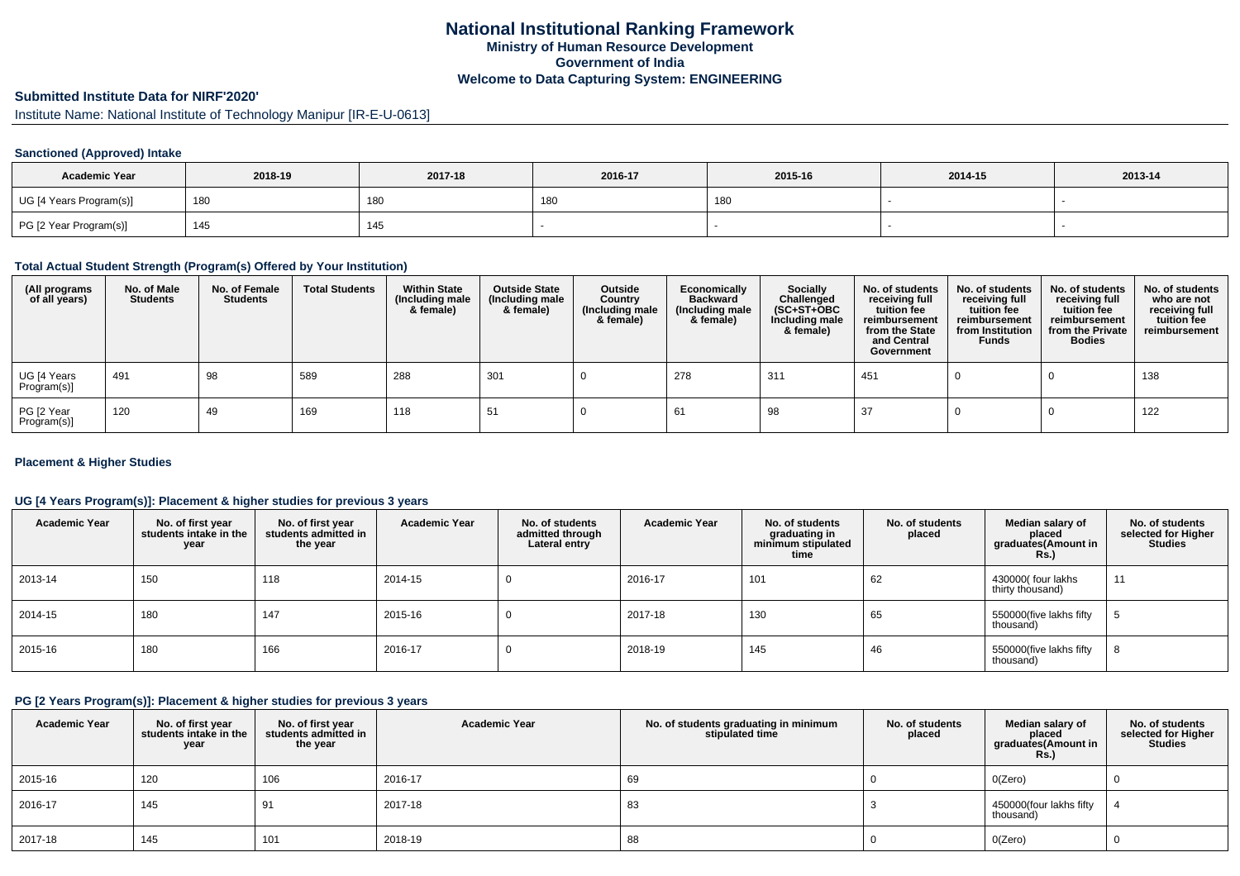# **Submitted Institute Data for NIRF'2020'**

Institute Name: National Institute of Technology Manipur [IR-E-U-0613]

### **Sanctioned (Approved) Intake**

| <b>Academic Year</b>    | 2018-19 | 2017-18 | 2016-17 | 2015-16 | 2014-15 | 2013-14 |
|-------------------------|---------|---------|---------|---------|---------|---------|
| UG [4 Years Program(s)] | 180     | 180     | 180     | 180     |         |         |
| PG [2 Year Program(s)]  | 145     | 145     |         |         |         |         |

#### **Total Actual Student Strength (Program(s) Offered by Your Institution)**

| (All programs<br>of all years) | No. of Male<br><b>Students</b> | No. of Female<br><b>Students</b> | <b>Total Students</b> | <b>Within State</b><br>(Including male<br>& female) | <b>Outside State</b><br>(Including male<br>& female) | Outside<br>Country<br>(Including male<br>& female) | Economically<br><b>Backward</b><br>(Including male<br>& female) | Socially<br>Challenged<br>$(SC+ST+OBC)$<br>Including male<br>& female) | No. of students<br>receiving full<br>tuition fee<br>reimbursement<br>from the State<br>and Central<br>Government | No. of students<br>receiving full<br>tuition fee<br>reimbursement<br>from Institution<br><b>Funds</b> | No. of students<br>receiving full<br>tuition fee<br>reimbursement<br>from the Private<br><b>Bodies</b> | No. of students<br>who are not<br>receiving full<br>tuition fee<br>reimbursement |
|--------------------------------|--------------------------------|----------------------------------|-----------------------|-----------------------------------------------------|------------------------------------------------------|----------------------------------------------------|-----------------------------------------------------------------|------------------------------------------------------------------------|------------------------------------------------------------------------------------------------------------------|-------------------------------------------------------------------------------------------------------|--------------------------------------------------------------------------------------------------------|----------------------------------------------------------------------------------|
| UG [4 Years<br>Program(s)]     | 491                            | 98                               | 589                   | 288                                                 | 301                                                  |                                                    | 278                                                             | 311                                                                    | 451                                                                                                              |                                                                                                       |                                                                                                        | 138                                                                              |
| PG [2 Year<br>Program(s)]      | 120                            | 49                               | 169                   | 118                                                 | 51                                                   |                                                    | 61                                                              | 98                                                                     | 37                                                                                                               |                                                                                                       |                                                                                                        | 122                                                                              |

### **Placement & Higher Studies**

### **UG [4 Years Program(s)]: Placement & higher studies for previous 3 years**

| <b>Academic Year</b> | No. of first year<br>students intake in the<br>year | No. of first year<br>students admitted in<br>the year | <b>Academic Year</b> | No. of students<br>admitted through<br>Lateral entry | <b>Academic Year</b> | No. of students<br>graduating in<br>minimum stipulated<br>time | No. of students<br>placed | Median salary of<br>placed<br>graduates(Amount in<br><b>Rs.)</b> | No. of students<br>selected for Higher<br><b>Studies</b> |
|----------------------|-----------------------------------------------------|-------------------------------------------------------|----------------------|------------------------------------------------------|----------------------|----------------------------------------------------------------|---------------------------|------------------------------------------------------------------|----------------------------------------------------------|
| 2013-14              | 150                                                 | 118                                                   | 2014-15              |                                                      | 2016-17              | 101                                                            | 62                        | 430000 four lakhs<br>thirty thousand)                            | 11                                                       |
| 2014-15              | 180                                                 | 147                                                   | 2015-16              |                                                      | 2017-18              | 130                                                            | 65                        | 550000(five lakhs fifty<br>thousand)                             |                                                          |
| 2015-16              | 180                                                 | 166                                                   | 2016-17              |                                                      | 2018-19              | 145                                                            | 46                        | 550000(five lakhs fifty<br>thousand)                             | 8                                                        |

#### **PG [2 Years Program(s)]: Placement & higher studies for previous 3 years**

| <b>Academic Year</b> | No. of first year<br>students intake in the<br>year | No. of first year<br>students admitted in<br>the year | <b>Academic Year</b> | No. of students graduating in minimum<br>stipulated time | No. of students<br>placed | Median salary of<br>placed<br>graduates(Amount in<br><b>Rs.)</b> | No. of students<br>selected for Higher<br><b>Studies</b> |
|----------------------|-----------------------------------------------------|-------------------------------------------------------|----------------------|----------------------------------------------------------|---------------------------|------------------------------------------------------------------|----------------------------------------------------------|
| 2015-16              | 120                                                 | 106                                                   | 2016-17              | 69                                                       |                           | O(Zero)                                                          |                                                          |
| 2016-17              | 145                                                 | 91                                                    | 2017-18              | 83                                                       |                           | 450000(four lakhs fifty<br>thousand)                             |                                                          |
| 2017-18              | 145                                                 | 101                                                   | 2018-19              | 88                                                       |                           | O(Zero)                                                          | U                                                        |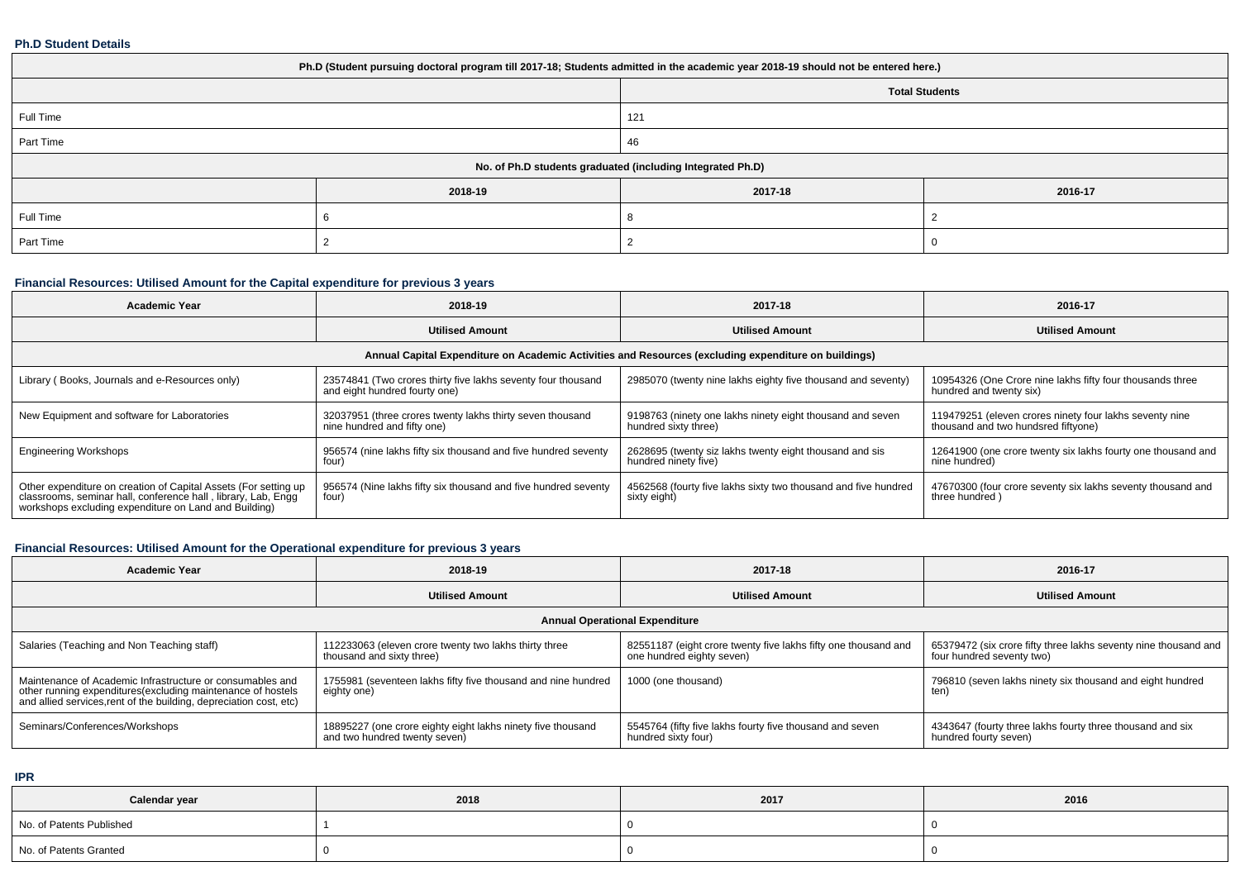### **Ph.D Student Details**

| Ph.D (Student pursuing doctoral program till 2017-18; Students admitted in the academic year 2018-19 should not be entered here.) |                                                            |         |                       |  |  |  |
|-----------------------------------------------------------------------------------------------------------------------------------|------------------------------------------------------------|---------|-----------------------|--|--|--|
|                                                                                                                                   |                                                            |         | <b>Total Students</b> |  |  |  |
| Full Time                                                                                                                         |                                                            | 121     |                       |  |  |  |
| Part Time                                                                                                                         |                                                            | 46      |                       |  |  |  |
|                                                                                                                                   | No. of Ph.D students graduated (including Integrated Ph.D) |         |                       |  |  |  |
|                                                                                                                                   | 2018-19                                                    | 2017-18 | 2016-17               |  |  |  |
| Full Time                                                                                                                         |                                                            |         |                       |  |  |  |
| Part Time                                                                                                                         |                                                            |         |                       |  |  |  |

# **Financial Resources: Utilised Amount for the Capital expenditure for previous 3 years**

| <b>Academic Year</b>                                                                                                                                                                      | 2018-19                                                                                       | 2017-18                                                                           | 2016-17                                                                                        |  |  |  |
|-------------------------------------------------------------------------------------------------------------------------------------------------------------------------------------------|-----------------------------------------------------------------------------------------------|-----------------------------------------------------------------------------------|------------------------------------------------------------------------------------------------|--|--|--|
|                                                                                                                                                                                           | <b>Utilised Amount</b>                                                                        | <b>Utilised Amount</b>                                                            | <b>Utilised Amount</b>                                                                         |  |  |  |
| Annual Capital Expenditure on Academic Activities and Resources (excluding expenditure on buildings)                                                                                      |                                                                                               |                                                                                   |                                                                                                |  |  |  |
| Library (Books, Journals and e-Resources only)                                                                                                                                            | 23574841 (Two crores thirty five lakhs seventy four thousand<br>and eight hundred fourty one) | 2985070 (twenty nine lakhs eighty five thousand and seventy)                      | 10954326 (One Crore nine lakhs fifty four thousands three<br>hundred and twenty six)           |  |  |  |
| New Equipment and software for Laboratories                                                                                                                                               | 32037951 (three crores twenty lakhs thirty seven thousand<br>nine hundred and fifty one)      | 9198763 (ninety one lakhs ninety eight thousand and seven<br>hundred sixty three) | 119479251 (eleven crores ninety four lakhs seventy nine<br>thousand and two hundsred fiftyone) |  |  |  |
| <b>Engineering Workshops</b>                                                                                                                                                              | 956574 (nine lakhs fifty six thousand and five hundred seventy<br>four)                       | 2628695 (twenty siz lakhs twenty eight thousand and sis<br>hundred ninety five)   | 12641900 (one crore twenty six lakhs fourty one thousand and<br>nine hundred)                  |  |  |  |
| Other expenditure on creation of Capital Assets (For setting up<br>classrooms, seminar hall, conference hall, library, Lab, Engg<br>workshops excluding expenditure on Land and Building) | 956574 (Nine lakhs fifty six thousand and five hundred seventy<br>four)                       | 4562568 (fourty five lakhs sixty two thousand and five hundred<br>sixty eight)    | 47670300 (four crore seventy six lakhs seventy thousand and<br>three hundred)                  |  |  |  |

# **Financial Resources: Utilised Amount for the Operational expenditure for previous 3 years**

| <b>Academic Year</b>                                                                                                                                                                            | 2018-19                                                                                      | 2017-18                                                                                     | 2016-17                                                                                      |  |  |  |
|-------------------------------------------------------------------------------------------------------------------------------------------------------------------------------------------------|----------------------------------------------------------------------------------------------|---------------------------------------------------------------------------------------------|----------------------------------------------------------------------------------------------|--|--|--|
|                                                                                                                                                                                                 | <b>Utilised Amount</b>                                                                       | <b>Utilised Amount</b>                                                                      | <b>Utilised Amount</b>                                                                       |  |  |  |
| <b>Annual Operational Expenditure</b>                                                                                                                                                           |                                                                                              |                                                                                             |                                                                                              |  |  |  |
| Salaries (Teaching and Non Teaching staff)                                                                                                                                                      | 112233063 (eleven crore twenty two lakhs thirty three<br>thousand and sixty three)           | 82551187 (eight crore twenty five lakhs fifty one thousand and<br>one hundred eighty seven) | 65379472 (six crore fifty three lakhs seventy nine thousand and<br>four hundred seventy two) |  |  |  |
| Maintenance of Academic Infrastructure or consumables and<br>other running expenditures (excluding maintenance of hostels<br>and allied services, rent of the building, depreciation cost, etc) | 1755981 (seventeen lakhs fifty five thousand and nine hundred<br>eighty one)                 | 1000 (one thousand)                                                                         | 796810 (seven lakhs ninety six thousand and eight hundred<br>ten)                            |  |  |  |
| Seminars/Conferences/Workshops                                                                                                                                                                  | 18895227 (one crore eighty eight lakhs ninety five thousand<br>and two hundred twenty seven) | 5545764 (fifty five lakhs fourty five thousand and seven<br>hundred sixty four)             | 4343647 (fourty three lakhs fourty three thousand and six<br>hundred fourty seven)           |  |  |  |

**IPR**

| Calendar year            | 2018 | 2017 | 2016 |
|--------------------------|------|------|------|
| No. of Patents Published |      |      |      |
| No. of Patents Granted   |      |      |      |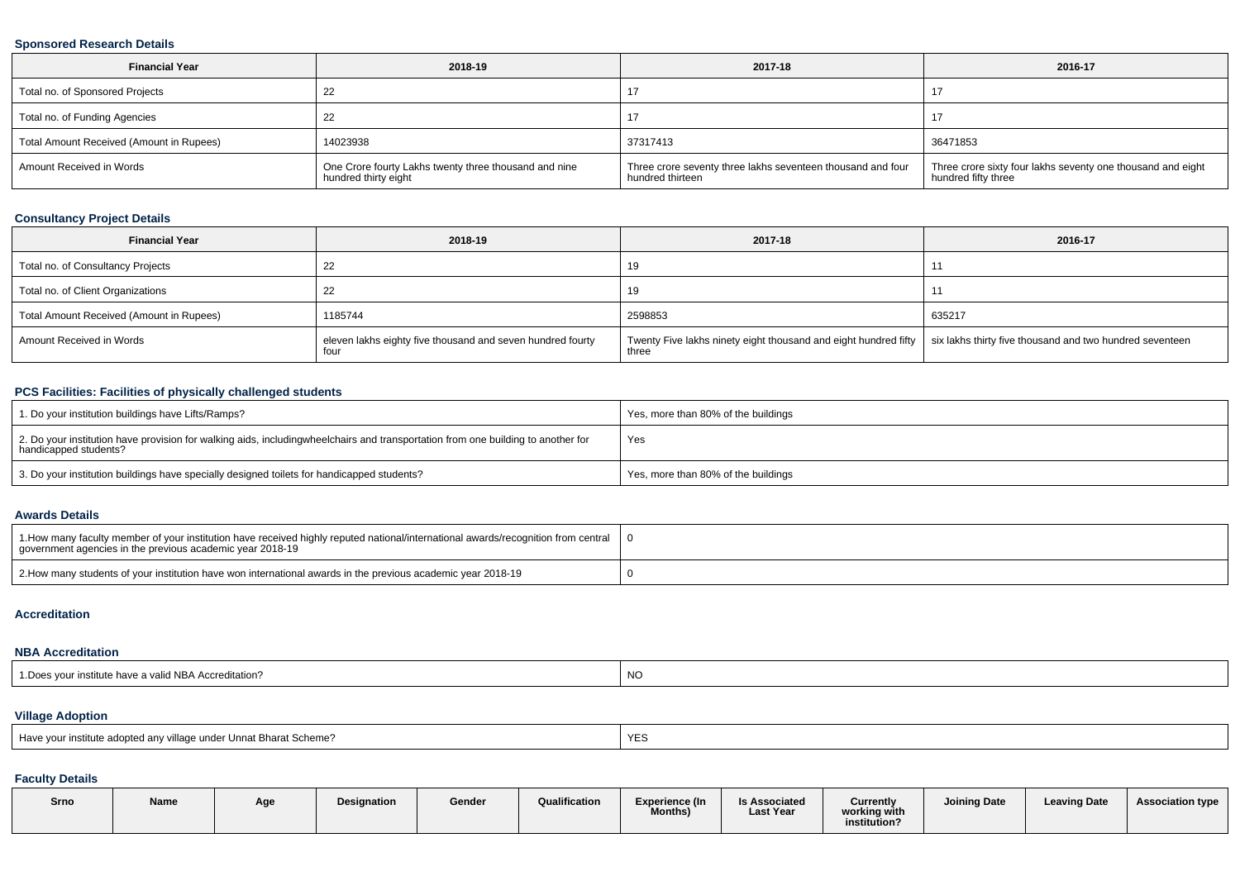### **Sponsored Research Details**

| <b>Financial Year</b>                    | 2018-19                                                                       | 2017-18                                                                         | 2016-17                                                                            |
|------------------------------------------|-------------------------------------------------------------------------------|---------------------------------------------------------------------------------|------------------------------------------------------------------------------------|
| Total no. of Sponsored Projects          | 22                                                                            |                                                                                 | 17                                                                                 |
| Total no. of Funding Agencies            |                                                                               |                                                                                 | 17                                                                                 |
| Total Amount Received (Amount in Rupees) | 14023938                                                                      | 37317413                                                                        | 36471853                                                                           |
| Amount Received in Words                 | One Crore fourty Lakhs twenty three thousand and nine<br>hundred thirty eight | Three crore seventy three lakhs seventeen thousand and four<br>hundred thirteen | Three crore sixty four lakhs seventy one thousand and eight<br>hundred fifty three |

# **Consultancy Project Details**

| <b>Financial Year</b>                    | 2018-19                                                            | 2017-18                                                                  | 2016-17                                                  |
|------------------------------------------|--------------------------------------------------------------------|--------------------------------------------------------------------------|----------------------------------------------------------|
| Total no. of Consultancy Projects        | 22                                                                 | 19                                                                       |                                                          |
| Total no. of Client Organizations        | 22                                                                 | 19                                                                       |                                                          |
| Total Amount Received (Amount in Rupees) | 1185744                                                            | 2598853                                                                  | 635217                                                   |
| Amount Received in Words                 | eleven lakhs eighty five thousand and seven hundred fourty<br>four | Twenty Five lakhs ninety eight thousand and eight hundred fifty<br>three | six lakhs thirty five thousand and two hundred seventeen |

### **PCS Facilities: Facilities of physically challenged students**

| 1. Do your institution buildings have Lifts/Ramps?                                                                                                        | Yes, more than 80% of the buildings |
|-----------------------------------------------------------------------------------------------------------------------------------------------------------|-------------------------------------|
| 2. Do your institution have provision for walking aids, includingwheelchairs and transportation from one building to another for<br>handicapped students? | Yes                                 |
| 3. Do your institution buildings have specially designed toilets for handicapped students?                                                                | Yes, more than 80% of the buildings |

#### **Awards Details**

| 1. How many faculty member of your institution have received highly reputed national/international awards/recognition from central<br>government agencies in the previous academic year 2018-19 |  |
|-------------------------------------------------------------------------------------------------------------------------------------------------------------------------------------------------|--|
| 2. How many students of your institution have won international awards in the previous academic year 2018-19                                                                                    |  |

#### **Accreditation**

### **NBA Accreditation**

| 1. Does your institute have a valid NBA Accreditation? | NO |
|--------------------------------------------------------|----|
|--------------------------------------------------------|----|

### **Village Adoption**

| Have your institute adopted any village under Unnat Bharat Scheme? | <b>YES</b> |
|--------------------------------------------------------------------|------------|
|--------------------------------------------------------------------|------------|

# **Faculty Details**

| Srno | <b>Name</b> | Age | Designation | Gender | Qualification | Experience (In<br><b>Months)</b> | <b>Is Associated</b><br><b>Last Year</b> | <b>Currently</b><br>working with<br>institution? | <b>Joining Date</b> | <b>Leaving Date</b> | <b>Association type</b> |
|------|-------------|-----|-------------|--------|---------------|----------------------------------|------------------------------------------|--------------------------------------------------|---------------------|---------------------|-------------------------|
|      |             |     |             |        |               |                                  |                                          |                                                  |                     |                     |                         |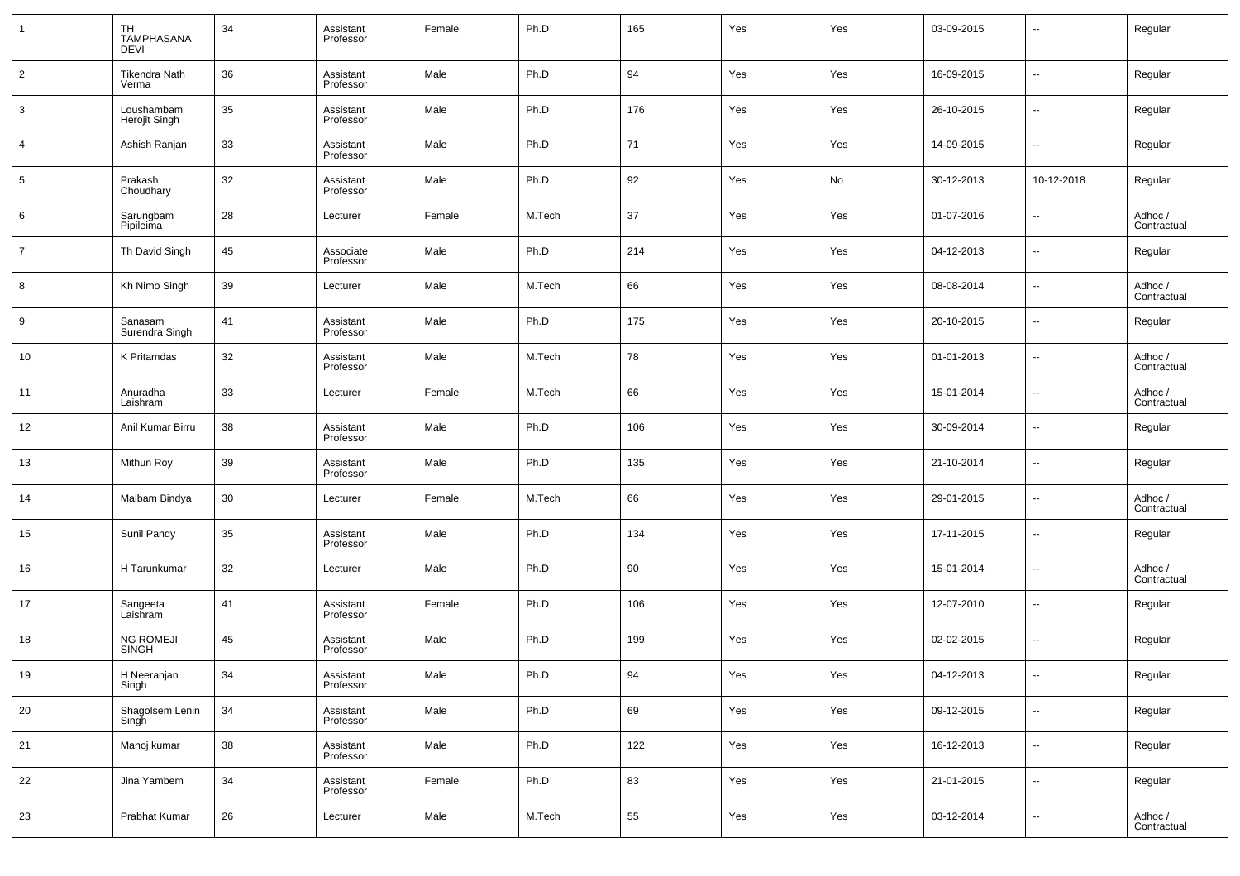| $\overline{1}$  | TH<br><b>TAMPHASANA</b><br><b>DEVI</b> | 34 | Assistant<br>Professor | Female | Ph.D   | 165 | Yes | Yes | 03-09-2015 | $\overline{\phantom{a}}$ | Regular                |
|-----------------|----------------------------------------|----|------------------------|--------|--------|-----|-----|-----|------------|--------------------------|------------------------|
| $\overline{2}$  | <b>Tikendra Nath</b><br>Verma          | 36 | Assistant<br>Professor | Male   | Ph.D   | 94  | Yes | Yes | 16-09-2015 | $\sim$                   | Regular                |
| $\mathbf{3}$    | Loushambam<br>Herojit Singh            | 35 | Assistant<br>Professor | Male   | Ph.D   | 176 | Yes | Yes | 26-10-2015 | $\sim$                   | Regular                |
| $\overline{4}$  | Ashish Ranjan                          | 33 | Assistant<br>Professor | Male   | Ph.D   | 71  | Yes | Yes | 14-09-2015 | $\sim$                   | Regular                |
| $5\phantom{.0}$ | Prakash<br>Choudhary                   | 32 | Assistant<br>Professor | Male   | Ph.D   | 92  | Yes | No  | 30-12-2013 | 10-12-2018               | Regular                |
| 6               | Sarungbam<br>Pipileima                 | 28 | Lecturer               | Female | M.Tech | 37  | Yes | Yes | 01-07-2016 | $\ddotsc$                | Adhoc /<br>Contractual |
| $\overline{7}$  | Th David Singh                         | 45 | Associate<br>Professor | Male   | Ph.D   | 214 | Yes | Yes | 04-12-2013 | $\sim$                   | Regular                |
| 8               | Kh Nimo Singh                          | 39 | Lecturer               | Male   | M.Tech | 66  | Yes | Yes | 08-08-2014 | $\overline{\phantom{a}}$ | Adhoc /<br>Contractual |
| 9               | Sanasam<br>Surendra Singh              | 41 | Assistant<br>Professor | Male   | Ph.D   | 175 | Yes | Yes | 20-10-2015 | $\sim$                   | Regular                |
| 10              | K Pritamdas                            | 32 | Assistant<br>Professor | Male   | M.Tech | 78  | Yes | Yes | 01-01-2013 | $\overline{\phantom{a}}$ | Adhoc /<br>Contractual |
| 11              | Anuradha<br>Laishram                   | 33 | Lecturer               | Female | M.Tech | 66  | Yes | Yes | 15-01-2014 | $\overline{\phantom{a}}$ | Adhoc /<br>Contractual |
| 12              | Anil Kumar Birru                       | 38 | Assistant<br>Professor | Male   | Ph.D   | 106 | Yes | Yes | 30-09-2014 | $\overline{\phantom{a}}$ | Regular                |
| 13              | Mithun Roy                             | 39 | Assistant<br>Professor | Male   | Ph.D   | 135 | Yes | Yes | 21-10-2014 | $\overline{\phantom{a}}$ | Regular                |
| 14              | Maibam Bindya                          | 30 | Lecturer               | Female | M.Tech | 66  | Yes | Yes | 29-01-2015 | $\overline{\phantom{a}}$ | Adhoc /<br>Contractual |
| 15              | Sunil Pandy                            | 35 | Assistant<br>Professor | Male   | Ph.D   | 134 | Yes | Yes | 17-11-2015 | $\overline{\phantom{a}}$ | Regular                |
| 16              | H Tarunkumar                           | 32 | Lecturer               | Male   | Ph.D   | 90  | Yes | Yes | 15-01-2014 | $\overline{\phantom{a}}$ | Adhoc /<br>Contractual |
| 17              | Sangeeta<br>Laishram                   | 41 | Assistant<br>Professor | Female | Ph.D   | 106 | Yes | Yes | 12-07-2010 | $\overline{\phantom{a}}$ | Regular                |
| 18              | NG ROMEJI<br>SINGH                     | 45 | Assistant<br>Professor | Male   | Ph.D   | 199 | Yes | Yes | 02-02-2015 | $\overline{\phantom{a}}$ | Regular                |
| 19              | H Neeranjan<br>Singh                   | 34 | Assistant<br>Professor | Male   | Ph.D   | 94  | Yes | Yes | 04-12-2013 | $\overline{\phantom{a}}$ | Regular                |
| 20              | Shagolsem Lenin<br>Singh               | 34 | Assistant<br>Professor | Male   | Ph.D   | 69  | Yes | Yes | 09-12-2015 | $\overline{\phantom{a}}$ | Regular                |
| 21              | Manoj kumar                            | 38 | Assistant<br>Professor | Male   | Ph.D   | 122 | Yes | Yes | 16-12-2013 | $\overline{\phantom{a}}$ | Regular                |
| 22              | Jina Yambem                            | 34 | Assistant<br>Professor | Female | Ph.D   | 83  | Yes | Yes | 21-01-2015 | $\overline{\phantom{a}}$ | Regular                |
| 23              | Prabhat Kumar                          | 26 | Lecturer               | Male   | M.Tech | 55  | Yes | Yes | 03-12-2014 | $\overline{\phantom{a}}$ | Adhoc /<br>Contractual |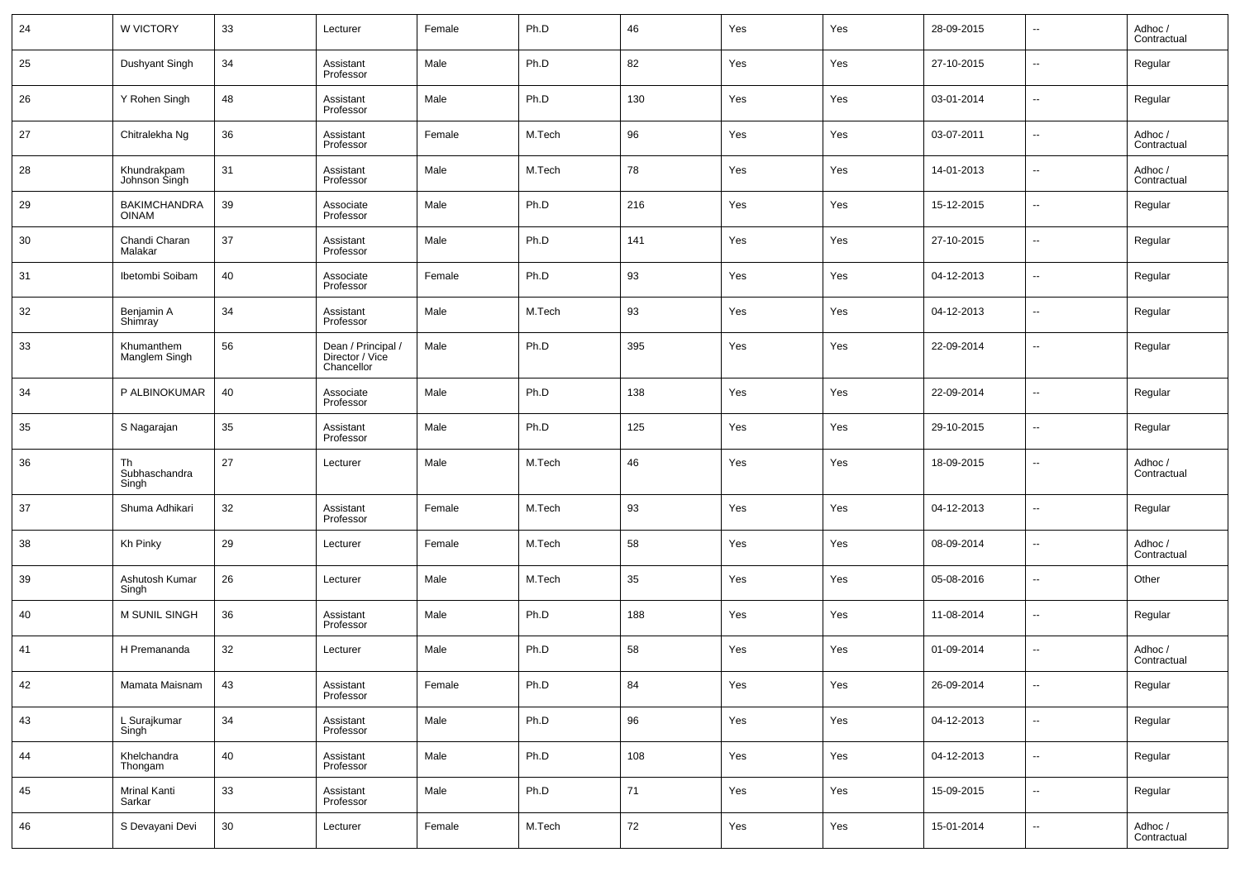| 24 | W VICTORY                           | 33 | Lecturer                                            | Female | Ph.D   | 46  | Yes | Yes | 28-09-2015 | $\sim$                   | Adhoc /<br>Contractual |
|----|-------------------------------------|----|-----------------------------------------------------|--------|--------|-----|-----|-----|------------|--------------------------|------------------------|
| 25 | Dushyant Singh                      | 34 | Assistant<br>Professor                              | Male   | Ph.D   | 82  | Yes | Yes | 27-10-2015 | ш,                       | Regular                |
| 26 | Y Rohen Singh                       | 48 | Assistant<br>Professor                              | Male   | Ph.D   | 130 | Yes | Yes | 03-01-2014 | $\overline{\phantom{a}}$ | Regular                |
| 27 | Chitralekha Ng                      | 36 | Assistant<br>Professor                              | Female | M.Tech | 96  | Yes | Yes | 03-07-2011 | ш,                       | Adhoc /<br>Contractual |
| 28 | Khundrakpam<br>Johnson Singh        | 31 | Assistant<br>Professor                              | Male   | M.Tech | 78  | Yes | Yes | 14-01-2013 | $\overline{\phantom{a}}$ | Adhoc /<br>Contractual |
| 29 | <b>BAKIMCHANDRA</b><br><b>OINAM</b> | 39 | Associate<br>Professor                              | Male   | Ph.D   | 216 | Yes | Yes | 15-12-2015 | ш,                       | Regular                |
| 30 | Chandi Charan<br>Malakar            | 37 | Assistant<br>Professor                              | Male   | Ph.D   | 141 | Yes | Yes | 27-10-2015 | $\overline{\phantom{a}}$ | Regular                |
| 31 | Ibetombi Soibam                     | 40 | Associate<br>Professor                              | Female | Ph.D   | 93  | Yes | Yes | 04-12-2013 | ш,                       | Regular                |
| 32 | Benjamin A<br>Shimray               | 34 | Assistant<br>Professor                              | Male   | M.Tech | 93  | Yes | Yes | 04-12-2013 | ш,                       | Regular                |
| 33 | Khumanthem<br>Manglem Singh         | 56 | Dean / Principal /<br>Director / Vice<br>Chancellor | Male   | Ph.D   | 395 | Yes | Yes | 22-09-2014 | --                       | Regular                |
| 34 | P ALBINOKUMAR                       | 40 | Associate<br>Professor                              | Male   | Ph.D   | 138 | Yes | Yes | 22-09-2014 | --                       | Regular                |
| 35 | S Nagarajan                         | 35 | Assistant<br>Professor                              | Male   | Ph.D   | 125 | Yes | Yes | 29-10-2015 | н.                       | Regular                |
| 36 | Th<br>Subhaschandra<br>Singh        | 27 | Lecturer                                            | Male   | M.Tech | 46  | Yes | Yes | 18-09-2015 | --                       | Adhoc /<br>Contractual |
| 37 | Shuma Adhikari                      | 32 | Assistant<br>Professor                              | Female | M.Tech | 93  | Yes | Yes | 04-12-2013 | --                       | Regular                |
| 38 | Kh Pinky                            | 29 | Lecturer                                            | Female | M.Tech | 58  | Yes | Yes | 08-09-2014 | --                       | Adhoc /<br>Contractual |
| 39 | Ashutosh Kumar<br>Singh             | 26 | Lecturer                                            | Male   | M.Tech | 35  | Yes | Yes | 05-08-2016 | --                       | Other                  |
| 40 | M SUNIL SINGH                       | 36 | Assistant<br>Professor                              | Male   | Ph.D   | 188 | Yes | Yes | 11-08-2014 | --                       | Regular                |
| 41 | H Premananda                        | 32 | Lecturer                                            | Male   | Ph.D   | 58  | Yes | Yes | 01-09-2014 | --                       | Adhoc /<br>Contractual |
| 42 | Mamata Maisnam                      | 43 | Assistant<br>Professor                              | Female | Ph.D   | 84  | Yes | Yes | 26-09-2014 | $\sim$                   | Regular                |
| 43 | L Surajkumar<br>Singh               | 34 | Assistant<br>Professor                              | Male   | Ph.D   | 96  | Yes | Yes | 04-12-2013 | $\sim$                   | Regular                |
| 44 | Khelchandra<br>Thongam              | 40 | Assistant<br>Professor                              | Male   | Ph.D   | 108 | Yes | Yes | 04-12-2013 | $\sim$                   | Regular                |
| 45 | <b>Mrinal Kanti</b><br>Sarkar       | 33 | Assistant<br>Professor                              | Male   | Ph.D   | 71  | Yes | Yes | 15-09-2015 | $\sim$                   | Regular                |
| 46 | S Devayani Devi                     | 30 | Lecturer                                            | Female | M.Tech | 72  | Yes | Yes | 15-01-2014 | $\sim$                   | Adhoc /<br>Contractual |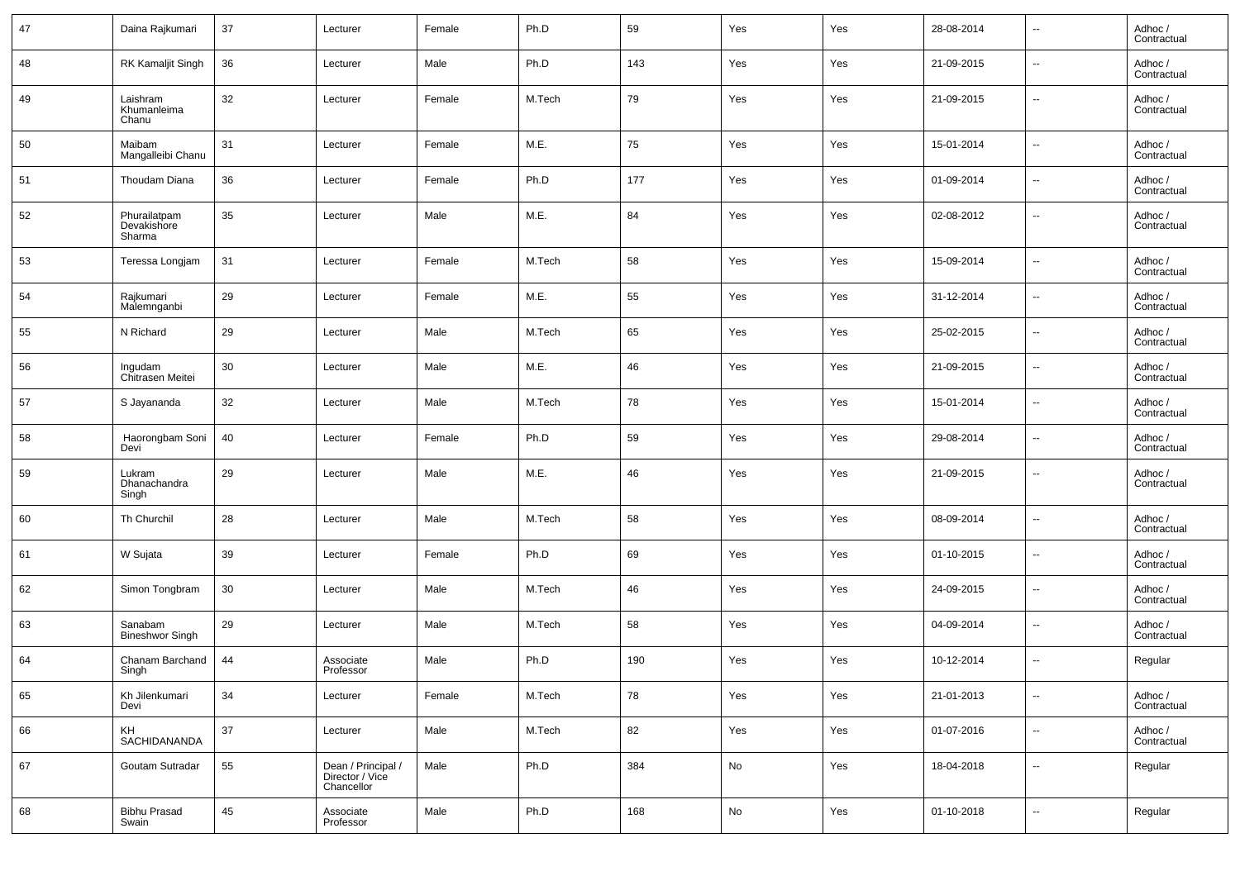| 47 | Daina Rajkumari                       | 37 | Lecturer                                            | Female | Ph.D   | 59  | Yes | Yes | 28-08-2014 | $\overline{\phantom{a}}$ | Adhoc /<br>Contractual |
|----|---------------------------------------|----|-----------------------------------------------------|--------|--------|-----|-----|-----|------------|--------------------------|------------------------|
| 48 | RK Kamaljit Singh                     | 36 | Lecturer                                            | Male   | Ph.D   | 143 | Yes | Yes | 21-09-2015 | $\overline{\phantom{a}}$ | Adhoc /<br>Contractual |
| 49 | Laishram<br>Khumanleima<br>Chanu      | 32 | Lecturer                                            | Female | M.Tech | 79  | Yes | Yes | 21-09-2015 | $\overline{\phantom{a}}$ | Adhoc/<br>Contractual  |
| 50 | Maibam<br>Mangalleibi Chanu           | 31 | Lecturer                                            | Female | M.E.   | 75  | Yes | Yes | 15-01-2014 | $\overline{\phantom{a}}$ | Adhoc /<br>Contractual |
| 51 | Thoudam Diana                         | 36 | Lecturer                                            | Female | Ph.D   | 177 | Yes | Yes | 01-09-2014 | $\overline{\phantom{a}}$ | Adhoc /<br>Contractual |
| 52 | Phurailatpam<br>Devakishore<br>Sharma | 35 | Lecturer                                            | Male   | M.E.   | 84  | Yes | Yes | 02-08-2012 | $\overline{\phantom{a}}$ | Adhoc/<br>Contractual  |
| 53 | Teressa Longjam                       | 31 | Lecturer                                            | Female | M.Tech | 58  | Yes | Yes | 15-09-2014 | $\overline{\phantom{a}}$ | Adhoc /<br>Contractual |
| 54 | Rajkumari<br>Malemnganbi              | 29 | Lecturer                                            | Female | M.E.   | 55  | Yes | Yes | 31-12-2014 | $\overline{\phantom{a}}$ | Adhoc /<br>Contractual |
| 55 | N Richard                             | 29 | Lecturer                                            | Male   | M.Tech | 65  | Yes | Yes | 25-02-2015 | $\overline{\phantom{a}}$ | Adhoc /<br>Contractual |
| 56 | Ingudam<br>Chitrasen Meitei           | 30 | Lecturer                                            | Male   | M.E.   | 46  | Yes | Yes | 21-09-2015 | $\overline{\phantom{a}}$ | Adhoc /<br>Contractual |
| 57 | S Jayananda                           | 32 | Lecturer                                            | Male   | M.Tech | 78  | Yes | Yes | 15-01-2014 | $\overline{\phantom{a}}$ | Adhoc /<br>Contractual |
| 58 | Haorongbam Soni<br>Devi               | 40 | Lecturer                                            | Female | Ph.D   | 59  | Yes | Yes | 29-08-2014 | $\overline{\phantom{a}}$ | Adhoc /<br>Contractual |
| 59 | Lukram<br>Dhanachandra<br>Singh       | 29 | Lecturer                                            | Male   | M.E.   | 46  | Yes | Yes | 21-09-2015 | $\overline{\phantom{a}}$ | Adhoc /<br>Contractual |
| 60 | Th Churchil                           | 28 | Lecturer                                            | Male   | M.Tech | 58  | Yes | Yes | 08-09-2014 | $\overline{\phantom{a}}$ | Adhoc /<br>Contractual |
| 61 | W Sujata                              | 39 | Lecturer                                            | Female | Ph.D   | 69  | Yes | Yes | 01-10-2015 | $\overline{\phantom{a}}$ | Adhoc /<br>Contractual |
| 62 | Simon Tongbram                        | 30 | Lecturer                                            | Male   | M.Tech | 46  | Yes | Yes | 24-09-2015 | $\overline{\phantom{a}}$ | Adhoc /<br>Contractual |
| 63 | Sanabam<br><b>Bineshwor Singh</b>     | 29 | Lecturer                                            | Male   | M.Tech | 58  | Yes | Yes | 04-09-2014 | $\overline{\phantom{a}}$ | Adhoc /<br>Contractual |
| 64 | Chanam Barchand<br>Singh              | 44 | Associate<br>Professor                              | Male   | Ph.D   | 190 | Yes | Yes | 10-12-2014 | $\overline{\phantom{a}}$ | Regular                |
| 65 | Kh Jilenkumari<br>Devi                | 34 | Lecturer                                            | Female | M.Tech | 78  | Yes | Yes | 21-01-2013 | $\overline{\phantom{a}}$ | Adhoc /<br>Contractual |
| 66 | KH<br>SACHIDANANDA                    | 37 | Lecturer                                            | Male   | M.Tech | 82  | Yes | Yes | 01-07-2016 | $\sim$                   | Adhoc /<br>Contractual |
| 67 | Goutam Sutradar                       | 55 | Dean / Principal /<br>Director / Vice<br>Chancellor | Male   | Ph.D   | 384 | No  | Yes | 18-04-2018 | $\overline{\phantom{a}}$ | Regular                |
| 68 | <b>Bibhu Prasad</b><br>Swain          | 45 | Associate<br>Professor                              | Male   | Ph.D   | 168 | No  | Yes | 01-10-2018 | $\overline{\phantom{a}}$ | Regular                |